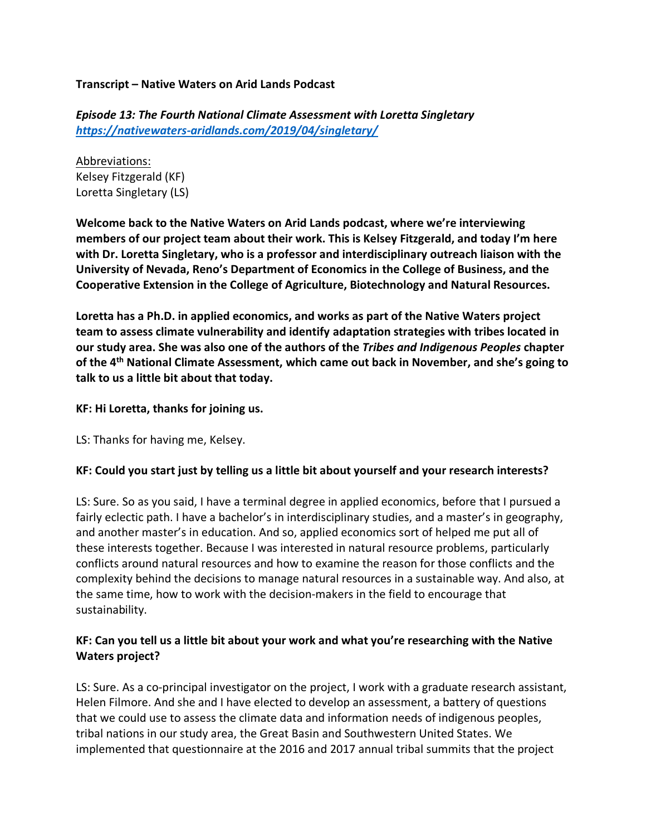**Transcript – Native Waters on Arid Lands Podcast**

*Episode 13: The Fourth National Climate Assessment with Loretta Singletary https://nativewaters-aridlands.com/2019/04/singletary/*

Abbreviations: Kelsey Fitzgerald (KF) Loretta Singletary (LS)

**Welcome back to the Native Waters on Arid Lands podcast, where we're interviewing members of our project team about their work. This is Kelsey Fitzgerald, and today I'm here with Dr. Loretta Singletary, who is a professor and interdisciplinary outreach liaison with the University of Nevada, Reno's Department of Economics in the College of Business, and the Cooperative Extension in the College of Agriculture, Biotechnology and Natural Resources.** 

**Loretta has a Ph.D. in applied economics, and works as part of the Native Waters project team to assess climate vulnerability and identify adaptation strategies with tribes located in our study area. She was also one of the authors of the** *Tribes and Indigenous Peoples* **chapter of the 4th National Climate Assessment, which came out back in November, and she's going to talk to us a little bit about that today.**

#### **KF: Hi Loretta, thanks for joining us.**

LS: Thanks for having me, Kelsey.

### **KF: Could you start just by telling us a little bit about yourself and your research interests?**

LS: Sure. So as you said, I have a terminal degree in applied economics, before that I pursued a fairly eclectic path. I have a bachelor's in interdisciplinary studies, and a master's in geography, and another master's in education. And so, applied economics sort of helped me put all of these interests together. Because I was interested in natural resource problems, particularly conflicts around natural resources and how to examine the reason for those conflicts and the complexity behind the decisions to manage natural resources in a sustainable way. And also, at the same time, how to work with the decision-makers in the field to encourage that sustainability.

# **KF: Can you tell us a little bit about your work and what you're researching with the Native Waters project?**

LS: Sure. As a co-principal investigator on the project, I work with a graduate research assistant, Helen Filmore. And she and I have elected to develop an assessment, a battery of questions that we could use to assess the climate data and information needs of indigenous peoples, tribal nations in our study area, the Great Basin and Southwestern United States. We implemented that questionnaire at the 2016 and 2017 annual tribal summits that the project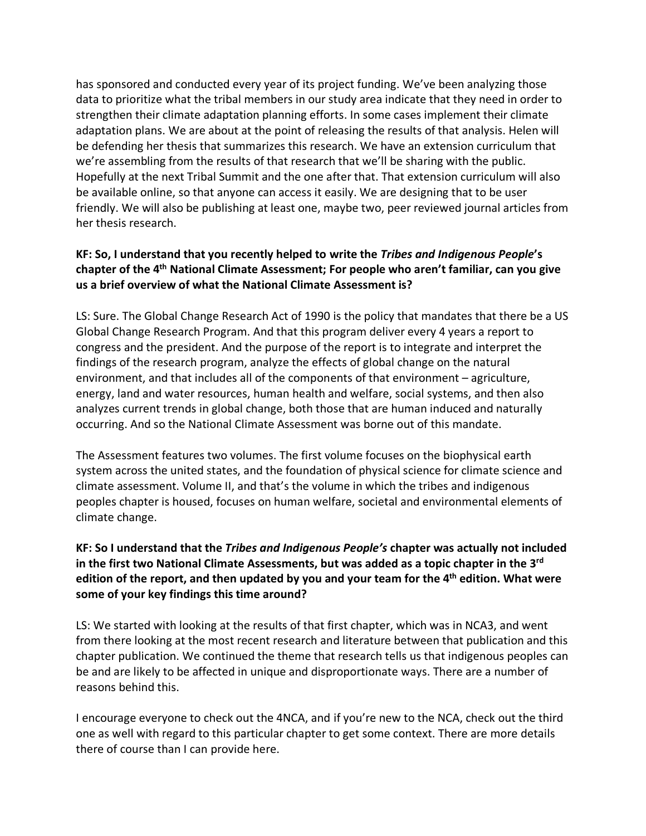has sponsored and conducted every year of its project funding. We've been analyzing those data to prioritize what the tribal members in our study area indicate that they need in order to strengthen their climate adaptation planning efforts. In some cases implement their climate adaptation plans. We are about at the point of releasing the results of that analysis. Helen will be defending her thesis that summarizes this research. We have an extension curriculum that we're assembling from the results of that research that we'll be sharing with the public. Hopefully at the next Tribal Summit and the one after that. That extension curriculum will also be available online, so that anyone can access it easily. We are designing that to be user friendly. We will also be publishing at least one, maybe two, peer reviewed journal articles from her thesis research.

# **KF: So, I understand that you recently helped to write the** *Tribes and Indigenous People***'s chapter of the 4th National Climate Assessment; For people who aren't familiar, can you give us a brief overview of what the National Climate Assessment is?**

LS: Sure. The Global Change Research Act of 1990 is the policy that mandates that there be a US Global Change Research Program. And that this program deliver every 4 years a report to congress and the president. And the purpose of the report is to integrate and interpret the findings of the research program, analyze the effects of global change on the natural environment, and that includes all of the components of that environment – agriculture, energy, land and water resources, human health and welfare, social systems, and then also analyzes current trends in global change, both those that are human induced and naturally occurring. And so the National Climate Assessment was borne out of this mandate.

The Assessment features two volumes. The first volume focuses on the biophysical earth system across the united states, and the foundation of physical science for climate science and climate assessment. Volume II, and that's the volume in which the tribes and indigenous peoples chapter is housed, focuses on human welfare, societal and environmental elements of climate change.

# **KF: So I understand that the** *Tribes and Indigenous People's* **chapter was actually not included in the first two National Climate Assessments, but was added as a topic chapter in the 3rd edition of the report, and then updated by you and your team for the 4th edition. What were some of your key findings this time around?**

LS: We started with looking at the results of that first chapter, which was in NCA3, and went from there looking at the most recent research and literature between that publication and this chapter publication. We continued the theme that research tells us that indigenous peoples can be and are likely to be affected in unique and disproportionate ways. There are a number of reasons behind this.

I encourage everyone to check out the 4NCA, and if you're new to the NCA, check out the third one as well with regard to this particular chapter to get some context. There are more details there of course than I can provide here.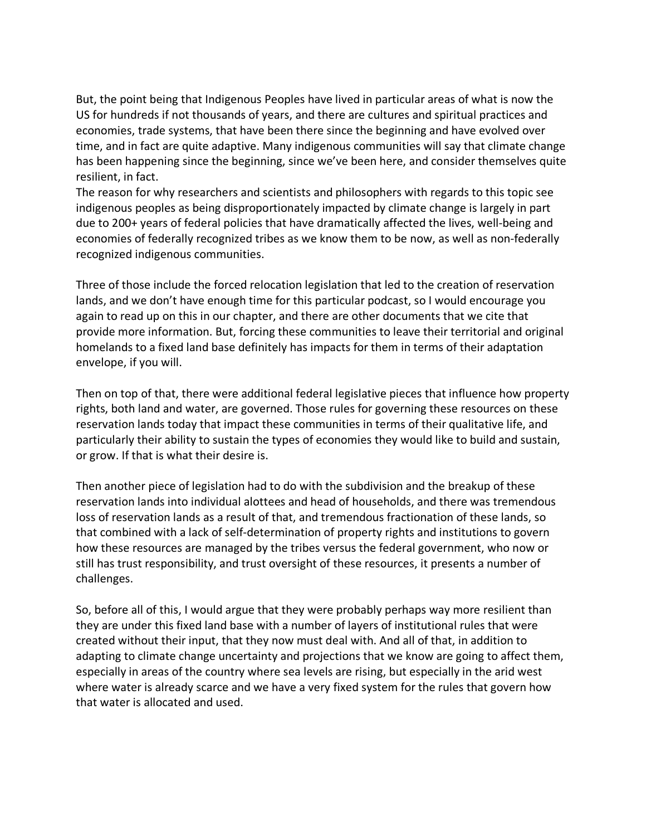But, the point being that Indigenous Peoples have lived in particular areas of what is now the US for hundreds if not thousands of years, and there are cultures and spiritual practices and economies, trade systems, that have been there since the beginning and have evolved over time, and in fact are quite adaptive. Many indigenous communities will say that climate change has been happening since the beginning, since we've been here, and consider themselves quite resilient, in fact.

The reason for why researchers and scientists and philosophers with regards to this topic see indigenous peoples as being disproportionately impacted by climate change is largely in part due to 200+ years of federal policies that have dramatically affected the lives, well-being and economies of federally recognized tribes as we know them to be now, as well as non-federally recognized indigenous communities.

Three of those include the forced relocation legislation that led to the creation of reservation lands, and we don't have enough time for this particular podcast, so I would encourage you again to read up on this in our chapter, and there are other documents that we cite that provide more information. But, forcing these communities to leave their territorial and original homelands to a fixed land base definitely has impacts for them in terms of their adaptation envelope, if you will.

Then on top of that, there were additional federal legislative pieces that influence how property rights, both land and water, are governed. Those rules for governing these resources on these reservation lands today that impact these communities in terms of their qualitative life, and particularly their ability to sustain the types of economies they would like to build and sustain, or grow. If that is what their desire is.

Then another piece of legislation had to do with the subdivision and the breakup of these reservation lands into individual alottees and head of households, and there was tremendous loss of reservation lands as a result of that, and tremendous fractionation of these lands, so that combined with a lack of self-determination of property rights and institutions to govern how these resources are managed by the tribes versus the federal government, who now or still has trust responsibility, and trust oversight of these resources, it presents a number of challenges.

So, before all of this, I would argue that they were probably perhaps way more resilient than they are under this fixed land base with a number of layers of institutional rules that were created without their input, that they now must deal with. And all of that, in addition to adapting to climate change uncertainty and projections that we know are going to affect them, especially in areas of the country where sea levels are rising, but especially in the arid west where water is already scarce and we have a very fixed system for the rules that govern how that water is allocated and used.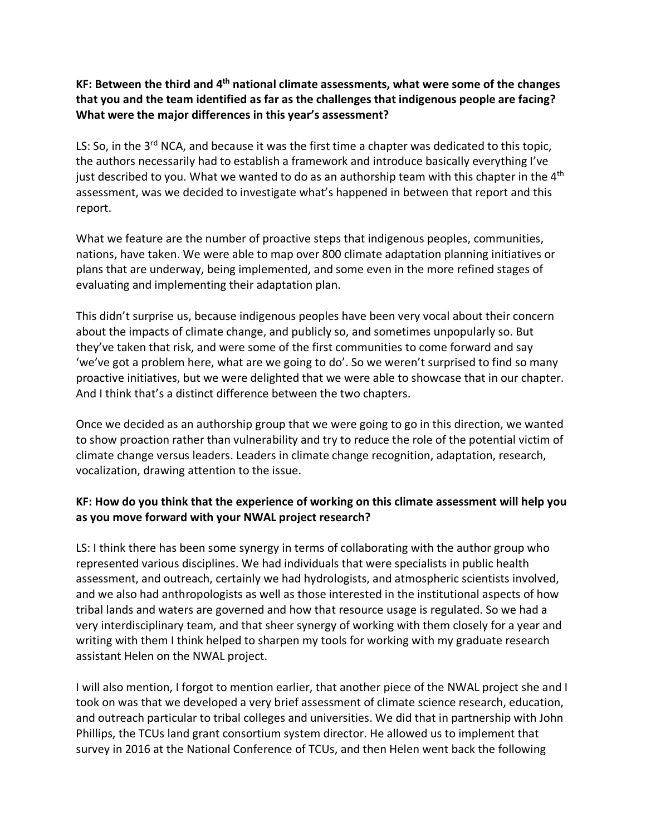### **KF: Between the third and 4th national climate assessments, what were some of the changes that you and the team identified as far as the challenges that indigenous people are facing? What were the major differences in this year's assessment?**

LS: So, in the 3<sup>rd</sup> NCA, and because it was the first time a chapter was dedicated to this topic, the authors necessarily had to establish a framework and introduce basically everything I've just described to you. What we wanted to do as an authorship team with this chapter in the  $4<sup>th</sup>$ assessment, was we decided to investigate what's happened in between that report and this report.

What we feature are the number of proactive steps that indigenous peoples, communities, nations, have taken. We were able to map over 800 climate adaptation planning initiatives or plans that are underway, being implemented, and some even in the more refined stages of evaluating and implementing their adaptation plan.

This didn't surprise us, because indigenous peoples have been very vocal about their concern about the impacts of climate change, and publicly so, and sometimes unpopularly so. But they've taken that risk, and were some of the first communities to come forward and say 'we've got a problem here, what are we going to do'. So we weren't surprised to find so many proactive initiatives, but we were delighted that we were able to showcase that in our chapter. And I think that's a distinct difference between the two chapters.

Once we decided as an authorship group that we were going to go in this direction, we wanted to show proaction rather than vulnerability and try to reduce the role of the potential victim of climate change versus leaders. Leaders in climate change recognition, adaptation, research, vocalization, drawing attention to the issue.

# **KF: How do you think that the experience of working on this climate assessment will help you as you move forward with your NWAL project research?**

LS: I think there has been some synergy in terms of collaborating with the author group who represented various disciplines. We had individuals that were specialists in public health assessment, and outreach, certainly we had hydrologists, and atmospheric scientists involved, and we also had anthropologists as well as those interested in the institutional aspects of how tribal lands and waters are governed and how that resource usage is regulated. So we had a very interdisciplinary team, and that sheer synergy of working with them closely for a year and writing with them I think helped to sharpen my tools for working with my graduate research assistant Helen on the NWAL project.

I will also mention, I forgot to mention earlier, that another piece of the NWAL project she and I took on was that we developed a very brief assessment of climate science research, education, and outreach particular to tribal colleges and universities. We did that in partnership with John Phillips, the TCUs land grant consortium system director. He allowed us to implement that survey in 2016 at the National Conference of TCUs, and then Helen went back the following